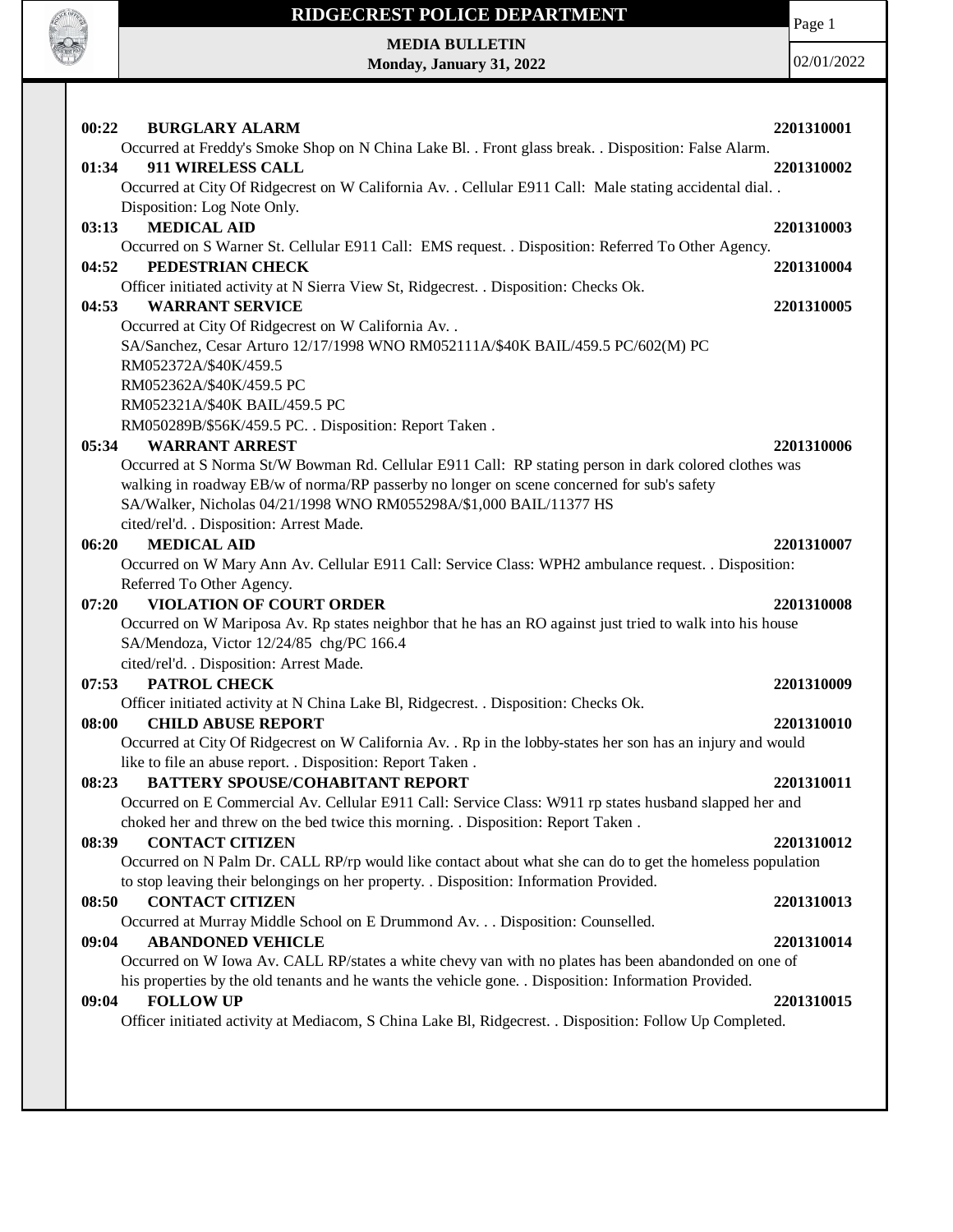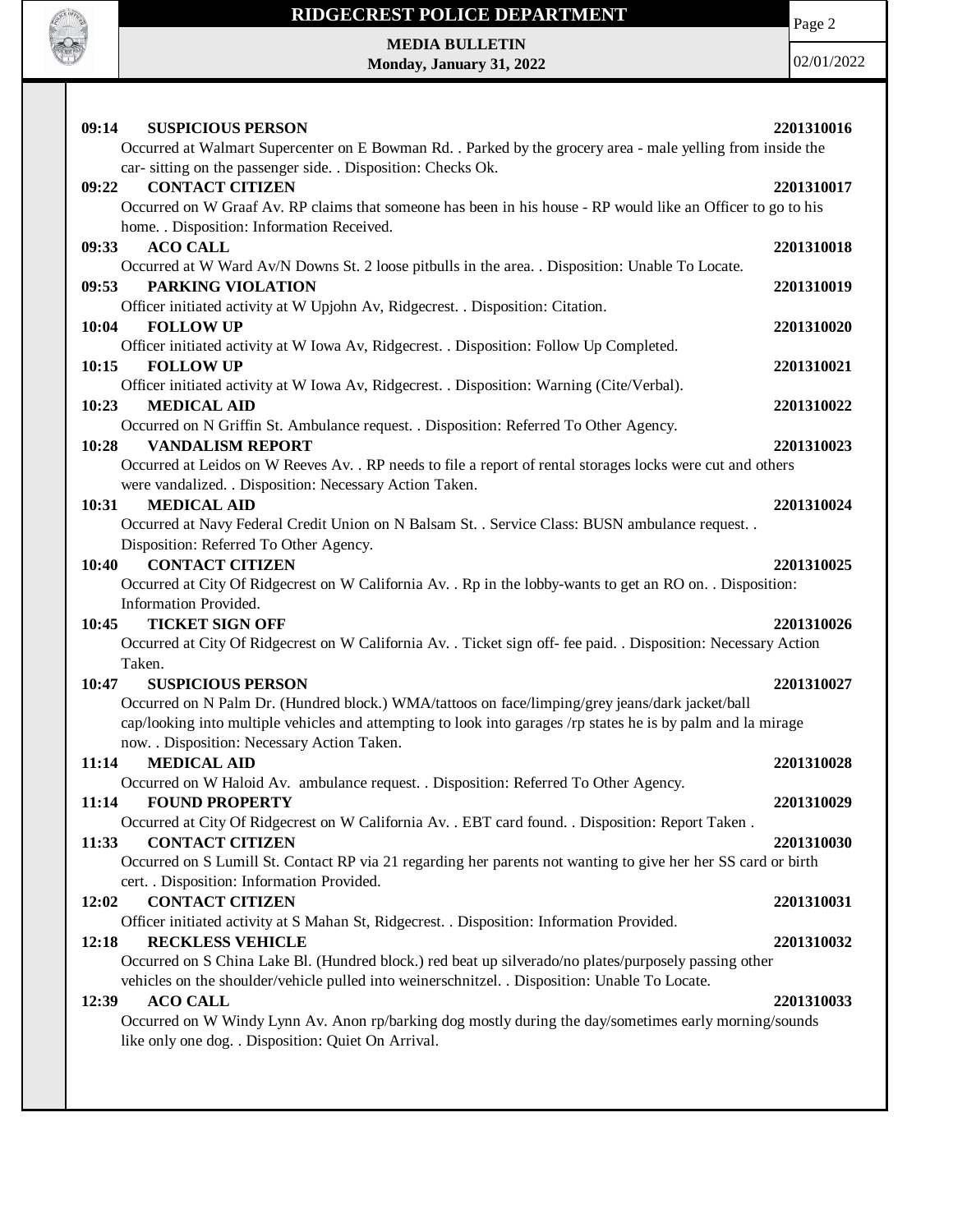

## **RIDGECREST POLICE DEPARTMENT**

Page 2

**MEDIA BULLETIN Monday, January 31, 2022**

| <b>SUSPICIOUS PERSON</b><br>09:14<br>Occurred at Walmart Supercenter on E Bowman Rd. . Parked by the grocery area - male yelling from inside the                                                                                                                                           | 2201310016               |
|--------------------------------------------------------------------------------------------------------------------------------------------------------------------------------------------------------------------------------------------------------------------------------------------|--------------------------|
| car-sitting on the passenger side. . Disposition: Checks Ok.<br><b>CONTACT CITIZEN</b><br>09:22<br>Occurred on W Graaf Av. RP claims that someone has been in his house - RP would like an Officer to go to his                                                                            | 2201310017               |
| home. . Disposition: Information Received.<br><b>ACO CALL</b><br>09:33<br>Occurred at W Ward Av/N Downs St. 2 loose pitbulls in the area. . Disposition: Unable To Locate.                                                                                                                 | 2201310018               |
| 09:53<br>PARKING VIOLATION<br>Officer initiated activity at W Upjohn Av, Ridgecrest. . Disposition: Citation.                                                                                                                                                                              | 2201310019               |
| 10:04<br><b>FOLLOW UP</b><br>Officer initiated activity at W Iowa Av, Ridgecrest. . Disposition: Follow Up Completed.                                                                                                                                                                      | 2201310020               |
| 10:15<br><b>FOLLOW UP</b><br>Officer initiated activity at W Iowa Av, Ridgecrest. . Disposition: Warning (Cite/Verbal).                                                                                                                                                                    | 2201310021               |
| 10:23<br><b>MEDICAL AID</b><br>Occurred on N Griffin St. Ambulance request. . Disposition: Referred To Other Agency.<br>10:28<br><b>VANDALISM REPORT</b>                                                                                                                                   | 2201310022<br>2201310023 |
| Occurred at Leidos on W Reeves Av. . RP needs to file a report of rental storages locks were cut and others<br>were vandalized. . Disposition: Necessary Action Taken.                                                                                                                     |                          |
| 10:31<br><b>MEDICAL AID</b><br>Occurred at Navy Federal Credit Union on N Balsam St. . Service Class: BUSN ambulance request. .<br>Disposition: Referred To Other Agency.                                                                                                                  | 2201310024               |
| <b>CONTACT CITIZEN</b><br>10:40<br>Occurred at City Of Ridgecrest on W California Av. . Rp in the lobby-wants to get an RO on. . Disposition:<br>Information Provided.                                                                                                                     | 2201310025               |
| <b>TICKET SIGN OFF</b><br>10:45<br>Occurred at City Of Ridgecrest on W California Av. . Ticket sign off- fee paid. . Disposition: Necessary Action                                                                                                                                         | 2201310026               |
| Taken.<br>10:47<br><b>SUSPICIOUS PERSON</b><br>Occurred on N Palm Dr. (Hundred block.) WMA/tattoos on face/limping/grey jeans/dark jacket/ball                                                                                                                                             | 2201310027               |
| cap/looking into multiple vehicles and attempting to look into garages /rp states he is by palm and la mirage<br>now. . Disposition: Necessary Action Taken.                                                                                                                               |                          |
| 11:14<br><b>MEDICAL AID</b><br>Occurred on W Haloid Av. ambulance request. . Disposition: Referred To Other Agency.                                                                                                                                                                        | 2201310028               |
| <b>FOUND PROPERTY</b><br>11:14<br>Occurred at City Of Ridgecrest on W California Av. . EBT card found. . Disposition: Report Taken.                                                                                                                                                        | 2201310029               |
| 11:33<br><b>CONTACT CITIZEN</b><br>Occurred on S Lumill St. Contact RP via 21 regarding her parents not wanting to give her her SS card or birth<br>cert. . Disposition: Information Provided.                                                                                             | 2201310030               |
| 12:02<br><b>CONTACT CITIZEN</b><br>Officer initiated activity at S Mahan St, Ridgecrest. . Disposition: Information Provided.                                                                                                                                                              | 2201310031               |
| <b>RECKLESS VEHICLE</b><br>12:18<br>Occurred on S China Lake Bl. (Hundred block.) red beat up silverado/no plates/purposely passing other                                                                                                                                                  | 2201310032               |
| vehicles on the shoulder/vehicle pulled into weinerschnitzel. . Disposition: Unable To Locate.<br>12:39<br><b>ACO CALL</b><br>Occurred on W Windy Lynn Av. Anon rp/barking dog mostly during the day/sometimes early morning/sounds<br>like only one dog. . Disposition: Quiet On Arrival. | 2201310033               |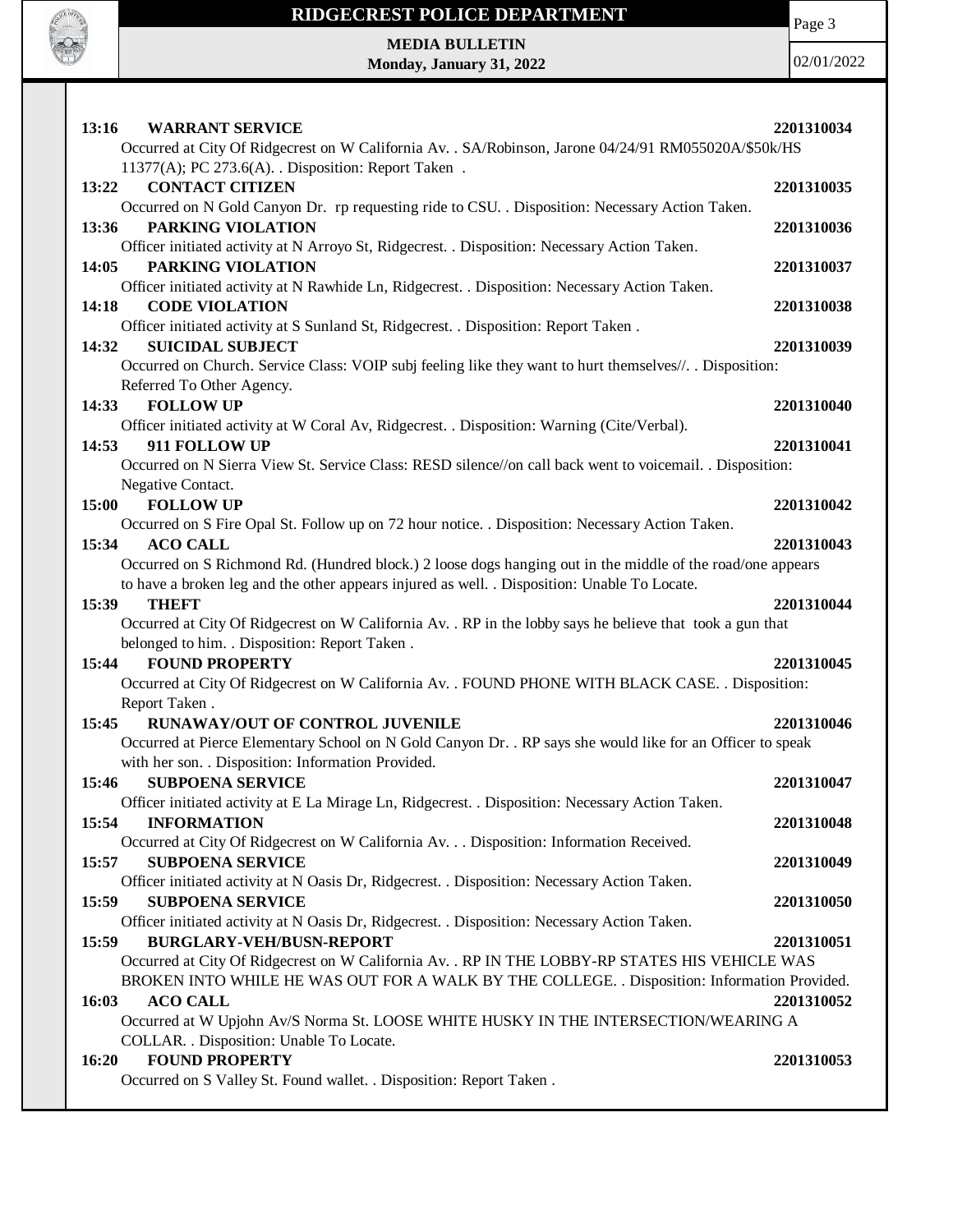

## **RIDGECREST POLICE DEPARTMENT**

Page 3

**MEDIA BULLETIN Monday, January 31, 2022**

| 13:16<br><b>WARRANT SERVICE</b><br>Occurred at City Of Ridgecrest on W California Av. . SA/Robinson, Jarone 04/24/91 RM055020A/\$50k/HS | 2201310034 |
|-----------------------------------------------------------------------------------------------------------------------------------------|------------|
| 11377(A); PC 273.6(A). . Disposition: Report Taken.                                                                                     |            |
| <b>CONTACT CITIZEN</b><br>13:22                                                                                                         | 2201310035 |
| Occurred on N Gold Canyon Dr. rp requesting ride to CSU. . Disposition: Necessary Action Taken.                                         |            |
| 13:36<br>PARKING VIOLATION                                                                                                              | 2201310036 |
| Officer initiated activity at N Arroyo St, Ridgecrest. . Disposition: Necessary Action Taken.<br>PARKING VIOLATION                      |            |
| 14:05                                                                                                                                   | 2201310037 |
| Officer initiated activity at N Rawhide Ln, Ridgecrest. . Disposition: Necessary Action Taken.<br>14:18<br><b>CODE VIOLATION</b>        | 2201310038 |
| Officer initiated activity at S Sunland St, Ridgecrest. . Disposition: Report Taken.                                                    |            |
| <b>SUICIDAL SUBJECT</b><br>14:32                                                                                                        | 2201310039 |
| Occurred on Church. Service Class: VOIP subj feeling like they want to hurt themselves//. . Disposition:                                |            |
| Referred To Other Agency.                                                                                                               |            |
| <b>FOLLOW UP</b><br>14:33                                                                                                               | 2201310040 |
| Officer initiated activity at W Coral Av, Ridgecrest. . Disposition: Warning (Cite/Verbal).                                             |            |
| 911 FOLLOW UP<br>14:53                                                                                                                  | 2201310041 |
| Occurred on N Sierra View St. Service Class: RESD silence//on call back went to voicemail. . Disposition:                               |            |
| Negative Contact.                                                                                                                       |            |
| <b>FOLLOW UP</b><br>15:00                                                                                                               | 2201310042 |
| Occurred on S Fire Opal St. Follow up on 72 hour notice. . Disposition: Necessary Action Taken.                                         |            |
| <b>ACO CALL</b><br>15:34                                                                                                                | 2201310043 |
| Occurred on S Richmond Rd. (Hundred block.) 2 loose dogs hanging out in the middle of the road/one appears                              |            |
| to have a broken leg and the other appears injured as well. . Disposition: Unable To Locate.<br>15:39<br>THEFT                          | 2201310044 |
| Occurred at City Of Ridgecrest on W California Av. . RP in the lobby says he believe that took a gun that                               |            |
| belonged to him. . Disposition: Report Taken.                                                                                           |            |
| <b>FOUND PROPERTY</b><br>15:44                                                                                                          | 2201310045 |
| Occurred at City Of Ridgecrest on W California Av. . FOUND PHONE WITH BLACK CASE. . Disposition:                                        |            |
| Report Taken.                                                                                                                           |            |
| <b>RUNAWAY/OUT OF CONTROL JUVENILE</b><br>15:45                                                                                         | 2201310046 |
| Occurred at Pierce Elementary School on N Gold Canyon Dr. . RP says she would like for an Officer to speak                              |            |
| with her son. . Disposition: Information Provided.                                                                                      |            |
| 15:46<br><b>SUBPOENA SERVICE</b>                                                                                                        | 2201310047 |
| Officer initiated activity at E La Mirage Ln, Ridgecrest. . Disposition: Necessary Action Taken.                                        |            |
| <b>INFORMATION</b><br>15:54                                                                                                             | 2201310048 |
| Occurred at City Of Ridgecrest on W California Av. Disposition: Information Received.                                                   |            |
| 15:57<br><b>SUBPOENA SERVICE</b>                                                                                                        | 2201310049 |
| Officer initiated activity at N Oasis Dr, Ridgecrest. . Disposition: Necessary Action Taken.                                            |            |
| 15:59<br><b>SUBPOENA SERVICE</b>                                                                                                        | 2201310050 |
| Officer initiated activity at N Oasis Dr, Ridgecrest. . Disposition: Necessary Action Taken.                                            |            |
| <b>BURGLARY-VEH/BUSN-REPORT</b><br>15:59                                                                                                | 2201310051 |
| Occurred at City Of Ridgecrest on W California Av. . RP IN THE LOBBY-RP STATES HIS VEHICLE WAS                                          |            |
| BROKEN INTO WHILE HE WAS OUT FOR A WALK BY THE COLLEGE. . Disposition: Information Provided.                                            |            |
| <b>ACO CALL</b><br>16:03                                                                                                                | 2201310052 |
| Occurred at W Upjohn Av/S Norma St. LOOSE WHITE HUSKY IN THE INTERSECTION/WEARING A                                                     |            |
| COLLAR. . Disposition: Unable To Locate.                                                                                                |            |
| <b>FOUND PROPERTY</b><br>16:20                                                                                                          | 2201310053 |
| Occurred on S Valley St. Found wallet. . Disposition: Report Taken.                                                                     |            |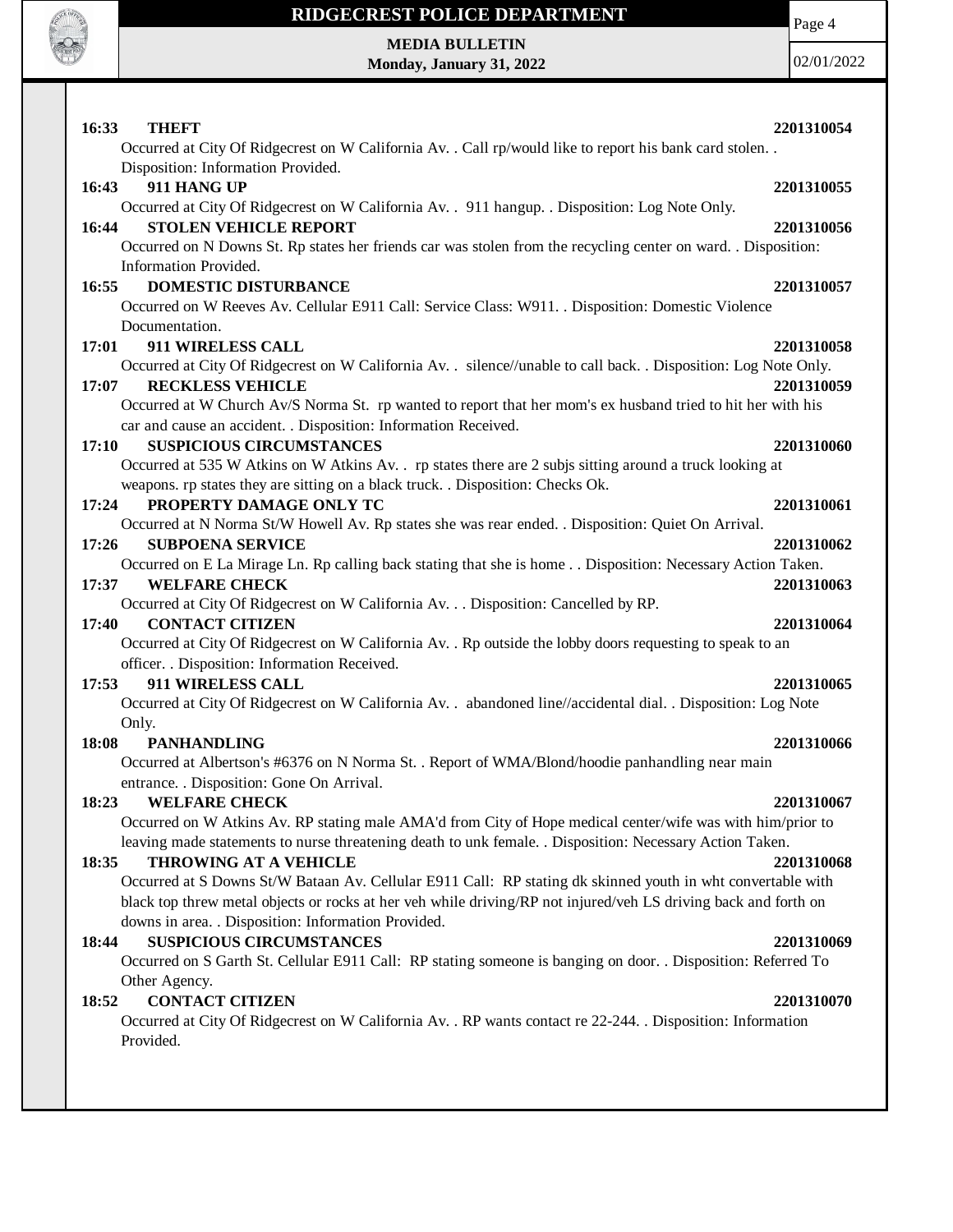

## **RIDGECREST POLICE DEPARTMENT**

**MEDIA BULLETIN Monday, January 31, 2022** Page 4

| 16:33<br>THEFT                                                                                                                                                                 | 2201310054 |
|--------------------------------------------------------------------------------------------------------------------------------------------------------------------------------|------------|
| Occurred at City Of Ridgecrest on W California Av. . Call rp/would like to report his bank card stolen. .<br>Disposition: Information Provided.                                |            |
| 911 HANG UP<br>16:43                                                                                                                                                           | 2201310055 |
| Occurred at City Of Ridgecrest on W California Av. . 911 hangup. . Disposition: Log Note Only.                                                                                 |            |
| <b>STOLEN VEHICLE REPORT</b><br>16:44                                                                                                                                          | 2201310056 |
| Occurred on N Downs St. Rp states her friends car was stolen from the recycling center on ward. . Disposition:                                                                 |            |
| Information Provided.<br><b>DOMESTIC DISTURBANCE</b><br>16:55                                                                                                                  | 2201310057 |
| Occurred on W Reeves Av. Cellular E911 Call: Service Class: W911. . Disposition: Domestic Violence                                                                             |            |
| Documentation.                                                                                                                                                                 |            |
| 17:01<br>911 WIRELESS CALL                                                                                                                                                     | 2201310058 |
| Occurred at City Of Ridgecrest on W California Av. . silence//unable to call back. . Disposition: Log Note Only.                                                               |            |
| <b>RECKLESS VEHICLE</b><br>17:07                                                                                                                                               | 2201310059 |
| Occurred at W Church Av/S Norma St. rp wanted to report that her mom's ex husband tried to hit her with his<br>car and cause an accident. . Disposition: Information Received. |            |
| <b>SUSPICIOUS CIRCUMSTANCES</b><br>17:10                                                                                                                                       | 2201310060 |
| Occurred at 535 W Atkins on W Atkins Av. . rp states there are 2 subjs sitting around a truck looking at                                                                       |            |
| weapons. rp states they are sitting on a black truck. . Disposition: Checks Ok.                                                                                                |            |
| PROPERTY DAMAGE ONLY TC<br>17:24                                                                                                                                               | 2201310061 |
| Occurred at N Norma St/W Howell Av. Rp states she was rear ended. . Disposition: Quiet On Arrival.                                                                             |            |
| 17:26<br><b>SUBPOENA SERVICE</b>                                                                                                                                               | 2201310062 |
| Occurred on E La Mirage Ln. Rp calling back stating that she is home Disposition: Necessary Action Taken.<br><b>WELFARE CHECK</b><br>17:37                                     | 2201310063 |
| Occurred at City Of Ridgecrest on W California Av. Disposition: Cancelled by RP.<br><b>CONTACT CITIZEN</b><br>17:40                                                            |            |
| Occurred at City Of Ridgecrest on W California Av. . Rp outside the lobby doors requesting to speak to an                                                                      | 2201310064 |
| officer. . Disposition: Information Received.                                                                                                                                  |            |
| 911 WIRELESS CALL<br>17:53                                                                                                                                                     | 2201310065 |
| Occurred at City Of Ridgecrest on W California Av. . abandoned line//accidental dial. . Disposition: Log Note                                                                  |            |
| Only.                                                                                                                                                                          |            |
| <b>PANHANDLING</b><br>18:08                                                                                                                                                    | 2201310066 |
| Occurred at Albertson's #6376 on N Norma St. . Report of WMA/Blond/hoodie panhandling near main<br>entrance. . Disposition: Gone On Arrival.                                   |            |
| 18:23<br><b>WELFARE CHECK</b>                                                                                                                                                  | 2201310067 |
| Occurred on W Atkins Av. RP stating male AMA'd from City of Hope medical center/wife was with him/prior to                                                                     |            |
| leaving made statements to nurse threatening death to unk female. . Disposition: Necessary Action Taken.                                                                       |            |
| THROWING AT A VEHICLE<br>18:35                                                                                                                                                 | 2201310068 |
| Occurred at S Downs St/W Bataan Av. Cellular E911 Call: RP stating dk skinned youth in wht convertable with                                                                    |            |
| black top threw metal objects or rocks at her veh while driving/RP not injured/veh LS driving back and forth on<br>downs in area. . Disposition: Information Provided.         |            |
| <b>SUSPICIOUS CIRCUMSTANCES</b><br>18:44                                                                                                                                       | 2201310069 |
| Occurred on S Garth St. Cellular E911 Call: RP stating someone is banging on door. . Disposition: Referred To                                                                  |            |
| Other Agency.                                                                                                                                                                  |            |
| <b>CONTACT CITIZEN</b><br>18:52                                                                                                                                                | 2201310070 |
| Occurred at City Of Ridgecrest on W California Av. . RP wants contact re 22-244. . Disposition: Information<br>Provided.                                                       |            |
|                                                                                                                                                                                |            |